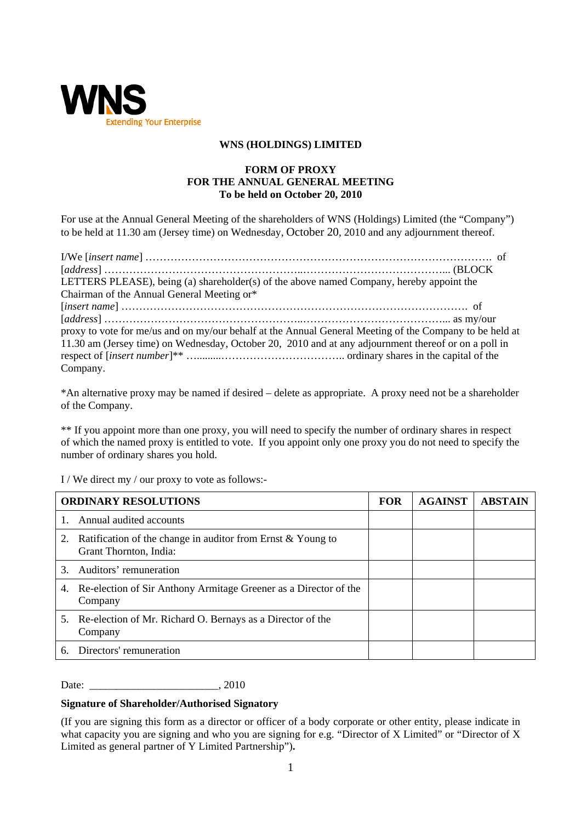

## **WNS (HOLDINGS) LIMITED**

## **FORM OF PROXY FOR THE ANNUAL GENERAL MEETING To be held on October 20, 2010**

For use at the Annual General Meeting of the shareholders of WNS (Holdings) Limited (the "Company") to be held at 11.30 am (Jersey time) on Wednesday, October 20, 2010 and any adjournment thereof.

| LETTERS PLEASE), being (a) shareholder(s) of the above named Company, hereby appoint the                |  |
|---------------------------------------------------------------------------------------------------------|--|
| Chairman of the Annual General Meeting or*                                                              |  |
|                                                                                                         |  |
|                                                                                                         |  |
| proxy to vote for me/us and on my/our behalf at the Annual General Meeting of the Company to be held at |  |
| 11.30 am (Jersey time) on Wednesday, October 20, 2010 and at any adjournment thereof or on a poll in    |  |
|                                                                                                         |  |
| Company.                                                                                                |  |

\*An alternative proxy may be named if desired – delete as appropriate. A proxy need not be a shareholder of the Company.

\*\* If you appoint more than one proxy, you will need to specify the number of ordinary shares in respect of which the named proxy is entitled to vote. If you appoint only one proxy you do not need to specify the number of ordinary shares you hold.

I / We direct my / our proxy to vote as follows:-

| <b>ORDINARY RESOLUTIONS</b> |                                                                                       | <b>FOR</b> | <b>AGAINST</b> | <b>ABSTAIN</b> |
|-----------------------------|---------------------------------------------------------------------------------------|------------|----------------|----------------|
|                             | 1. Annual audited accounts                                                            |            |                |                |
| 2.                          | Ratification of the change in auditor from Ernst & Young to<br>Grant Thornton, India: |            |                |                |
| 3                           | Auditors' remuneration                                                                |            |                |                |
| 4.                          | Re-election of Sir Anthony Armitage Greener as a Director of the<br>Company           |            |                |                |
|                             | 5. Re-election of Mr. Richard O. Bernays as a Director of the<br>Company              |            |                |                |
| 6.                          | Directors' remuneration                                                               |            |                |                |

Date: \_\_\_\_\_\_\_\_\_\_\_\_\_\_\_\_\_\_\_\_\_\_\_\_, 2010

## **Signature of Shareholder/Authorised Signatory**

(If you are signing this form as a director or officer of a body corporate or other entity, please indicate in what capacity you are signing and who you are signing for e.g. "Director of X Limited" or "Director of X Limited as general partner of Y Limited Partnership")**.**